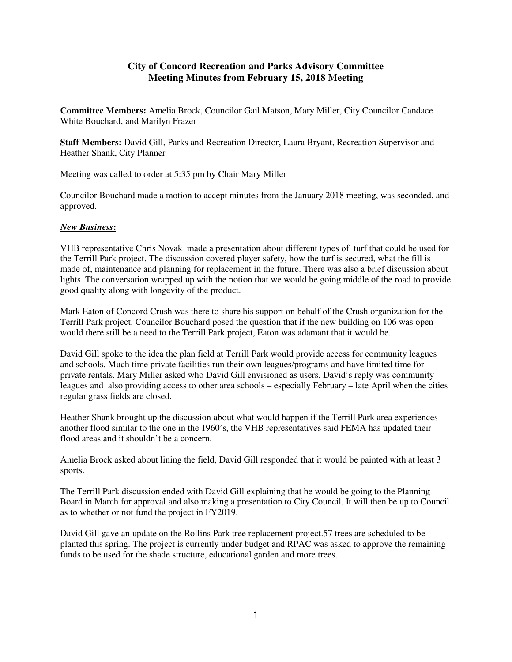## **City of Concord Recreation and Parks Advisory Committee Meeting Minutes from February 15, 2018 Meeting**

**Committee Members:** Amelia Brock, Councilor Gail Matson, Mary Miller, City Councilor Candace White Bouchard, and Marilyn Frazer

**Staff Members:** David Gill, Parks and Recreation Director, Laura Bryant, Recreation Supervisor and Heather Shank, City Planner

Meeting was called to order at 5:35 pm by Chair Mary Miller

Councilor Bouchard made a motion to accept minutes from the January 2018 meeting, was seconded, and approved.

## *New Business***:**

VHB representative Chris Novak made a presentation about different types of turf that could be used for the Terrill Park project. The discussion covered player safety, how the turf is secured, what the fill is made of, maintenance and planning for replacement in the future. There was also a brief discussion about lights. The conversation wrapped up with the notion that we would be going middle of the road to provide good quality along with longevity of the product.

Mark Eaton of Concord Crush was there to share his support on behalf of the Crush organization for the Terrill Park project. Councilor Bouchard posed the question that if the new building on 106 was open would there still be a need to the Terrill Park project, Eaton was adamant that it would be.

David Gill spoke to the idea the plan field at Terrill Park would provide access for community leagues and schools. Much time private facilities run their own leagues/programs and have limited time for private rentals. Mary Miller asked who David Gill envisioned as users, David's reply was community leagues and also providing access to other area schools – especially February – late April when the cities regular grass fields are closed.

Heather Shank brought up the discussion about what would happen if the Terrill Park area experiences another flood similar to the one in the 1960's, the VHB representatives said FEMA has updated their flood areas and it shouldn't be a concern.

Amelia Brock asked about lining the field, David Gill responded that it would be painted with at least 3 sports.

The Terrill Park discussion ended with David Gill explaining that he would be going to the Planning Board in March for approval and also making a presentation to City Council. It will then be up to Council as to whether or not fund the project in FY2019.

David Gill gave an update on the Rollins Park tree replacement project.57 trees are scheduled to be planted this spring. The project is currently under budget and RPAC was asked to approve the remaining funds to be used for the shade structure, educational garden and more trees.